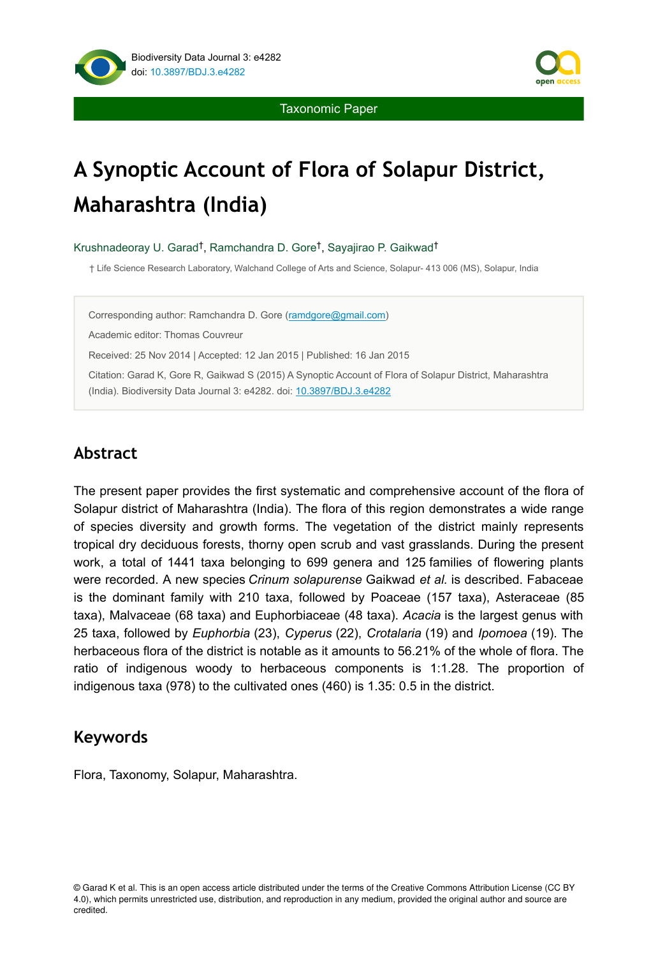

Taxonomic Paper

# **A Synoptic Account of Flora of Solapur District, Maharashtra (India)**

Krushnadeoray U. Garad<sup>†</sup>, Ramchandra D. Gore<sup>†</sup>, Sayajirao P. Gaikwad<sup>†</sup>

† Life Science Research Laboratory, Walchand College of Arts and Science, Solapur- 413 006 (MS), Solapur, India

Corresponding author: Ramchandra D. Gore [\(ramdgore@gmail.com](mailto:ramdgore@gmail.com?subject=Your%20manuscript%20in%20PWT%20#3792/BDJ%20#4282))

Academic editor: Thomas Couvreur

Received: 25 Nov 2014 | Accepted: 12 Jan 2015 | Published: 16 Jan 2015

Citation: Garad K, Gore R, Gaikwad S (2015) A Synoptic Account of Flora of Solapur District, Maharashtra (India). Biodiversity Data Journal 3: e4282. doi: [10.3897/BDJ.3.e4282](http://dx.doi.org/10.3897/BDJ.3.e4282)

# **Abstract**

The present paper provides the first systematic and comprehensive account of the flora of Solapur district of Maharashtra (India). The flora of this region demonstrates a wide range of species diversity and growth forms. The vegetation of the district mainly represents tropical dry deciduous forests, thorny open scrub and vast grasslands. During the present work, a total of 1441 taxa belonging to 699 genera and 125 families of flowering plants were recorded. A new species *Crinum solapurense* Gaikwad *et al.* is described. Fabaceae is the dominant family with 210 taxa, followed by Poaceae (157 taxa), Asteraceae (85 taxa), Malvaceae (68 taxa) and Euphorbiaceae (48 taxa). *Acacia* is the largest genus with 25 taxa, followed by *Euphorbia* (23), *Cyperus* (22), *Crotalaria* (19) and *Ipomoea* (19). The herbaceous flora of the district is notable as it amounts to 56.21% of the whole of flora. The ratio of indigenous woody to herbaceous components is 1:1.28. The proportion of indigenous taxa (978) to the cultivated ones (460) is 1.35: 0.5 in the district.

# **Keywords**

Flora, Taxonomy, Solapur, Maharashtra.

<sup>©</sup> Garad K et al. This is an open access article distributed under the terms of the Creative Commons Attribution License (CC BY 4.0), which permits unrestricted use, distribution, and reproduction in any medium, provided the original author and source are credited.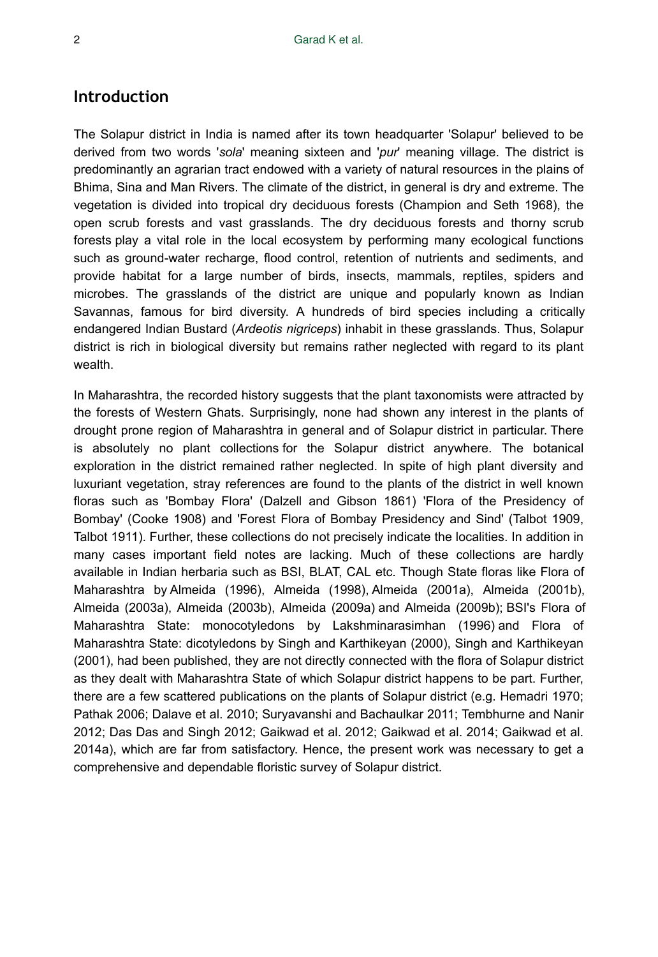# **Introduction**

The Solapur district in India is named after its town headquarter 'Solapur' believed to be derived from two words '*sola*' meaning sixteen and '*pur*' meaning village. The district is predominantly an agrarian tract endowed with a variety of natural resources in the plains of Bhima, Sina and Man Rivers. The climate of the district, in general is dry and extreme. The vegetation is divided into tropical dry deciduous forests (Champion and Seth 1968), the open scrub forests and vast grasslands. The dry deciduous forests and thorny scrub forests play a vital role in the local ecosystem by performing many ecological functions such as ground-water recharge, flood control, retention of nutrients and sediments, and provide habitat for a large number of birds, insects, mammals, reptiles, spiders and microbes. The grasslands of the district are unique and popularly known as Indian Savannas, famous for bird diversity. A hundreds of bird species including a critically endangered Indian Bustard (*Ardeotis nigriceps*) inhabit in these grasslands. Thus, Solapur district is rich in biological diversity but remains rather neglected with regard to its plant wealth.

In Maharashtra, the recorded history suggests that the plant taxonomists were attracted by the forests of Western Ghats. Surprisingly, none had shown any interest in the plants of drought prone region of Maharashtra in general and of Solapur district in particular. There is absolutely no plant collections for the Solapur district anywhere. The botanical exploration in the district remained rather neglected. In spite of high plant diversity and luxuriant vegetation, stray references are found to the plants of the district in well known floras such as 'Bombay Flora' (Dalzell and Gibson 1861) 'Flora of the Presidency of Bombay' (Cooke 1908) and 'Forest Flora of Bombay Presidency and Sind' (Talbot 1909, Talbot 1911). Further, these collections do not precisely indicate the localities. In addition in many cases important field notes are lacking. Much of these collections are hardly available in Indian herbaria such as BSI, BLAT, CAL etc. Though State floras like Flora of Maharashtra by Almeida (1996), Almeida (1998), Almeida (2001a), Almeida (2001b), Almeida (2003a), Almeida (2003b), Almeida (2009a) and Almeida (2009b); BSI's Flora of Maharashtra State: monocotyledons by Lakshminarasimhan (1996) and Flora of Maharashtra State: dicotyledons by Singh and Karthikeyan (2000), Singh and Karthikeyan (2001), had been published, they are not directly connected with the flora of Solapur district as they dealt with Maharashtra State of which Solapur district happens to be part. Further, there are a few scattered publications on the plants of Solapur district (e.g. Hemadri 1970; Pathak 2006; Dalave et al. 2010; Suryavanshi and Bachaulkar 2011; Tembhurne and Nanir 2012; Das Das and Singh 2012; Gaikwad et al. 2012; Gaikwad et al. 2014; Gaikwad et al. 2014a), which are far from satisfactory. Hence, the present work was necessary to get a comprehensive and dependable floristic survey of Solapur district.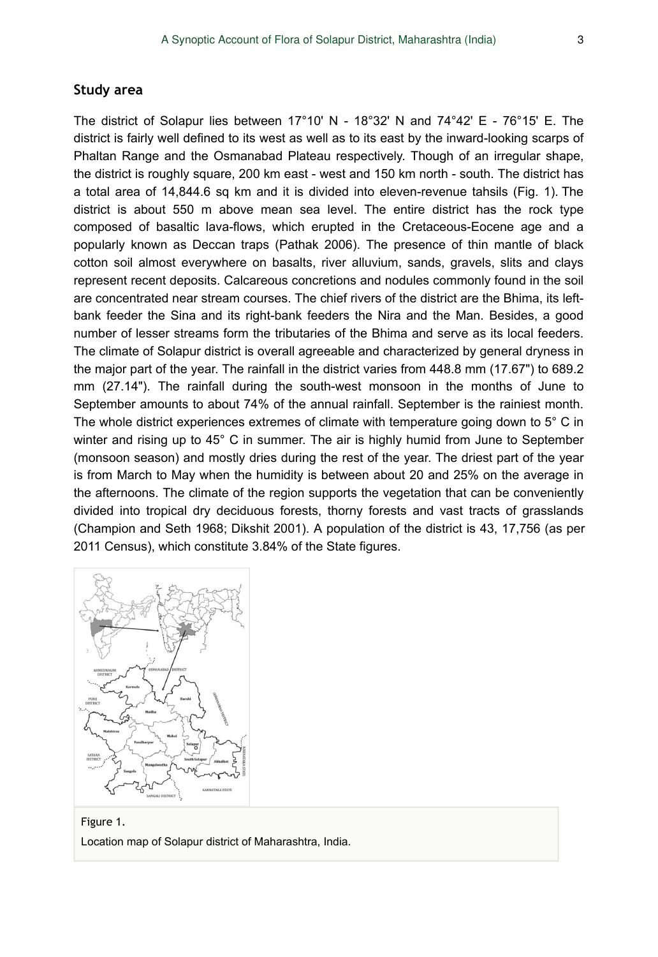#### **Study area**

The district of Solapur lies between 17°10' N - 18°32' N and 74°42' E - 76°15' E. The district is fairly well defined to its west as well as to its east by the inward-looking scarps of Phaltan Range and the Osmanabad Plateau respectively. Though of an irregular shape, the district is roughly square, 200 km east - west and 150 km north - south. The district has a total area of 14,844.6 sq km and it is divided into eleven-revenue tahsils (Fig. 1). The district is about 550 m above mean sea level. The entire district has the rock type composed of basaltic lava-flows, which erupted in the Cretaceous-Eocene age and a popularly known as Deccan traps (Pathak 2006). The presence of thin mantle of black cotton soil almost everywhere on basalts, river alluvium, sands, gravels, slits and clays represent recent deposits. Calcareous concretions and nodules commonly found in the soil are concentrated near stream courses. The chief rivers of the district are the Bhima, its leftbank feeder the Sina and its right-bank feeders the Nira and the Man. Besides, a good number of lesser streams form the tributaries of the Bhima and serve as its local feeders. The climate of Solapur district is overall agreeable and characterized by general dryness in the major part of the year. The rainfall in the district varies from 448.8 mm (17.67") to 689.2 mm (27.14"). The rainfall during the south-west monsoon in the months of June to September amounts to about 74% of the annual rainfall. September is the rainiest month. The whole district experiences extremes of climate with temperature going down to 5° C in winter and rising up to 45° C in summer. The air is highly humid from June to September (monsoon season) and mostly dries during the rest of the year. The driest part of the year is from March to May when the humidity is between about 20 and 25% on the average in the afternoons. The climate of the region supports the vegetation that can be conveniently divided into tropical dry deciduous forests, thorny forests and vast tracts of grasslands (Champion and Seth 1968; Dikshit 2001). A population of the district is 43, 17,756 (as per 2011 Census), which constitute 3.84% of the State figures.



Figure 1. Location map of Solapur district of Maharashtra, India.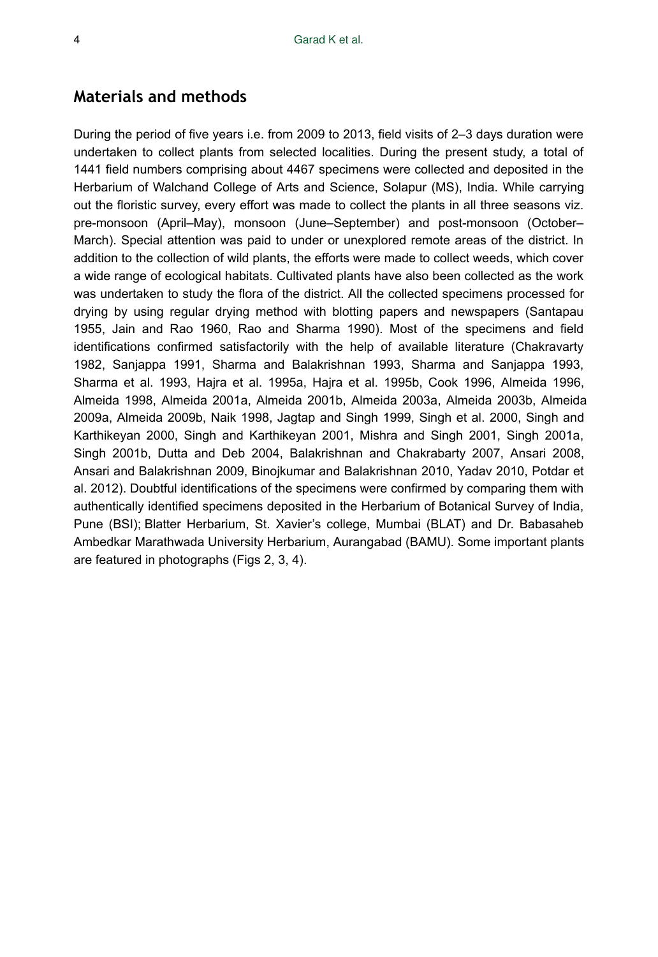## **Materials and methods**

During the period of five years i.e. from 2009 to 2013, field visits of 2–3 days duration were undertaken to collect plants from selected localities. During the present study, a total of 1441 field numbers comprising about 4467 specimens were collected and deposited in the Herbarium of Walchand College of Arts and Science, Solapur (MS), India. While carrying out the floristic survey, every effort was made to collect the plants in all three seasons viz. pre-monsoon (April–May), monsoon (June–September) and post-monsoon (October– March). Special attention was paid to under or unexplored remote areas of the district. In addition to the collection of wild plants, the efforts were made to collect weeds, which cover a wide range of ecological habitats. Cultivated plants have also been collected as the work was undertaken to study the flora of the district. All the collected specimens processed for drying by using regular drying method with blotting papers and newspapers (Santapau 1955, Jain and Rao 1960, Rao and Sharma 1990). Most of the specimens and field identifications confirmed satisfactorily with the help of available literature (Chakravarty 1982, Sanjappa 1991, Sharma and Balakrishnan 1993, Sharma and Sanjappa 1993, Sharma et al. 1993, Hajra et al. 1995a, Hajra et al. 1995b, Cook 1996, Almeida 1996, Almeida 1998, Almeida 2001a, Almeida 2001b, Almeida 2003a, Almeida 2003b, Almeida 2009a, Almeida 2009b, Naik 1998, Jagtap and Singh 1999, Singh et al. 2000, Singh and Karthikeyan 2000, Singh and Karthikeyan 2001, Mishra and Singh 2001, Singh 2001a, Singh 2001b, Dutta and Deb 2004, Balakrishnan and Chakrabarty 2007, Ansari 2008, Ansari and Balakrishnan 2009, Binojkumar and Balakrishnan 2010, Yadav 2010, Potdar et al. 2012). Doubtful identifications of the specimens were confirmed by comparing them with authentically identified specimens deposited in the Herbarium of Botanical Survey of India, Pune (BSI); Blatter Herbarium, St. Xavier's college, Mumbai (BLAT) and Dr. Babasaheb Ambedkar Marathwada University Herbarium, Aurangabad (BAMU). Some important plants are featured in photographs (Figs 2, 3, 4).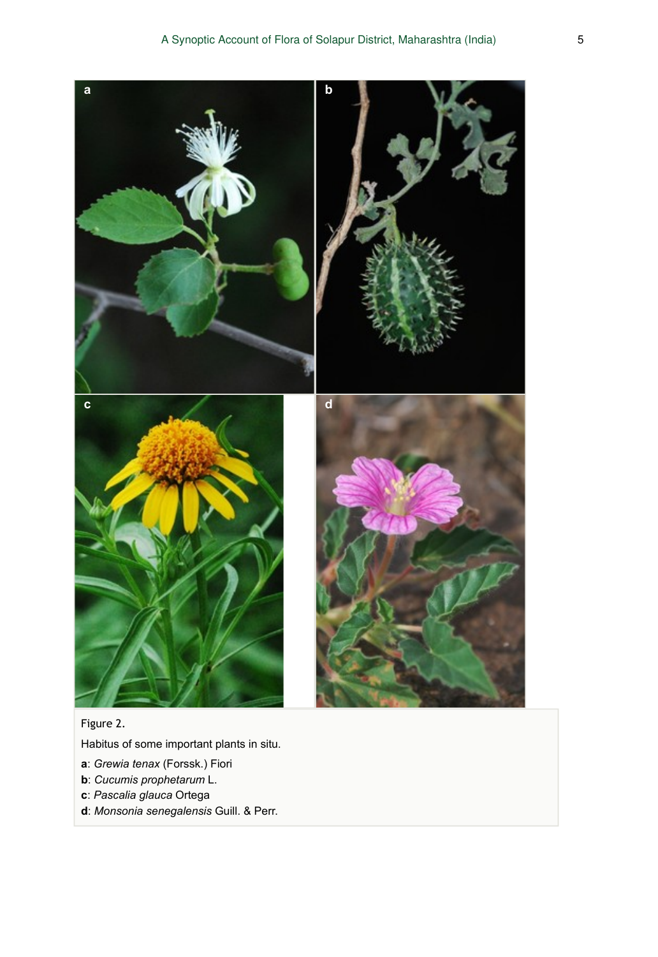

### Figure 2.

Habitus of some important plants in situ.

- **a**: *Grewia tenax* (Forssk.) Fiori
- **b**: *Cucumis prophetarum* L.
- **c**: *Pascalia glauca* Ortega
- **d**: *Monsonia senegalensis* Guill. & Perr.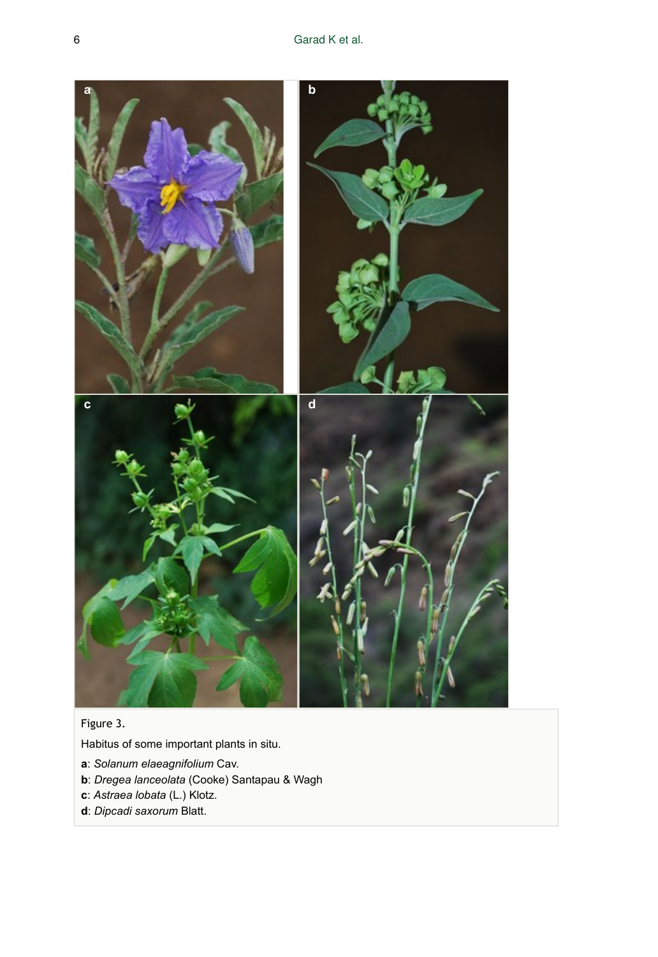

## Figure 3.

Habitus of some important plants in situ.

- **a**: *Solanum elaeagnifolium* Cav.
- **b**: *Dregea lanceolata* (Cooke) Santapau & Wagh
- **c**: *Astraea lobata* (L.) Klotz.
- **d**: *Dipcadi saxorum* Blatt.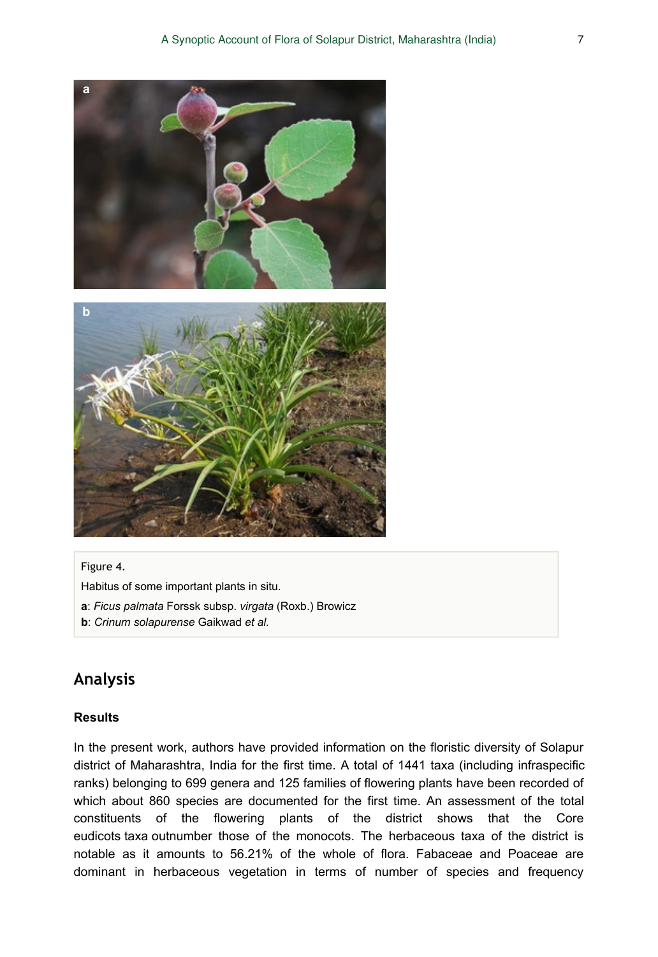

#### Figure 4.

Habitus of some important plants in situ.

- **a**: *Ficus palmata* Forssk subsp. *virgata* (Roxb.) Browicz
- **b**: *Crinum solapurense* Gaikwad *et al.*

# **Analysis**

#### **Results**

In the present work, authors have provided information on the floristic diversity of Solapur district of Maharashtra, India for the first time. A total of 1441 taxa (including infraspecific ranks) belonging to 699 genera and 125 families of flowering plants have been recorded of which about 860 species are documented for the first time. An assessment of the total constituents of the flowering plants of the district shows that the Core eudicots taxa outnumber those of the monocots. The herbaceous taxa of the district is notable as it amounts to 56.21% of the whole of flora. Fabaceae and Poaceae are dominant in herbaceous vegetation in terms of number of species and frequency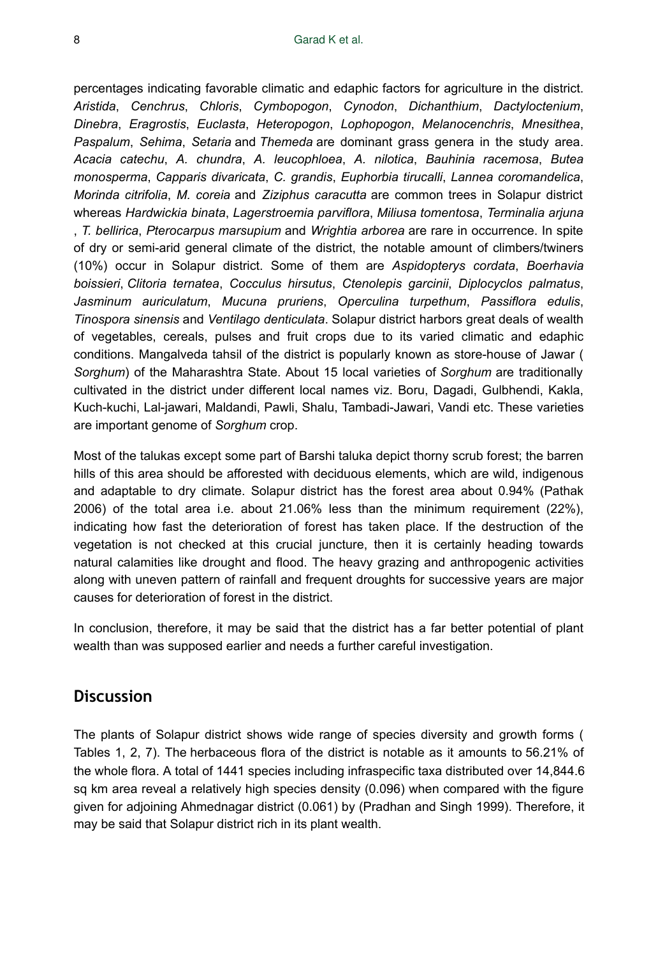percentages indicating favorable climatic and edaphic factors for agriculture in the district. *Aristida*, *Cenchrus*, *Chloris*, *Cymbopogon*, *Cynodon*, *Dichanthium*, *Dactyloctenium*, *Dinebra*, *Eragrostis*, *Euclasta*, *Heteropogon*, *Lophopogon*, *Melanocenchris*, *Mnesithea*, *Paspalum*, *Sehima*, *Setaria* and *Themeda* are dominant grass genera in the study area. *Acacia catechu*, *A. chundra*, *A. leucophloea*, *A. nilotica*, *Bauhinia racemosa*, *Butea monosperma*, *Capparis divaricata*, *C. grandis*, *Euphorbia tirucalli*, *Lannea coromandelica*, *Morinda citrifolia*, *M. coreia* and *Ziziphus caracutta* are common trees in Solapur district whereas *Hardwickia binata*, *Lagerstroemia parviflora*, *Miliusa tomentosa*, *Terminalia arjuna* , *T. bellirica*, *Pterocarpus marsupium* and *Wrightia arborea* are rare in occurrence. In spite of dry or semi-arid general climate of the district, the notable amount of climbers/twiners (10%) occur in Solapur district. Some of them are *Aspidopterys cordata*, *Boerhavia boissieri*, *Clitoria ternatea*, *Cocculus hirsutus*, *Ctenolepis garcinii*, *Diplocyclos palmatus*, *Jasminum auriculatum*, *Mucuna pruriens*, *Operculina turpethum*, *Passiflora edulis*, *Tinospora sinensis* and *Ventilago denticulata*. Solapur district harbors great deals of wealth of vegetables, cereals, pulses and fruit crops due to its varied climatic and edaphic conditions. Mangalveda tahsil of the district is popularly known as store-house of Jawar ( *Sorghum*) of the Maharashtra State. About 15 local varieties of *Sorghum* are traditionally cultivated in the district under different local names viz. Boru, Dagadi, Gulbhendi, Kakla, Kuch-kuchi, Lal-jawari, Maldandi, Pawli, Shalu, Tambadi-Jawari, Vandi etc. These varieties are important genome of *Sorghum* crop.

Most of the talukas except some part of Barshi taluka depict thorny scrub forest; the barren hills of this area should be afforested with deciduous elements, which are wild, indigenous and adaptable to dry climate. Solapur district has the forest area about 0.94% (Pathak 2006) of the total area i.e. about 21.06% less than the minimum requirement (22%), indicating how fast the deterioration of forest has taken place. If the destruction of the vegetation is not checked at this crucial juncture, then it is certainly heading towards natural calamities like drought and flood. The heavy grazing and anthropogenic activities along with uneven pattern of rainfall and frequent droughts for successive years are major causes for deterioration of forest in the district.

In conclusion, therefore, it may be said that the district has a far better potential of plant wealth than was supposed earlier and needs a further careful investigation.

# **Discussion**

The plants of Solapur district shows wide range of species diversity and growth forms ( Tables 1, 2, 7). The herbaceous flora of the district is notable as it amounts to 56.21% of the whole flora. A total of 1441 species including infraspecific taxa distributed over 14,844.6 sq km area reveal a relatively high species density (0.096) when compared with the figure given for adjoining Ahmednagar district (0.061) by (Pradhan and Singh 1999). Therefore, it may be said that Solapur district rich in its plant wealth.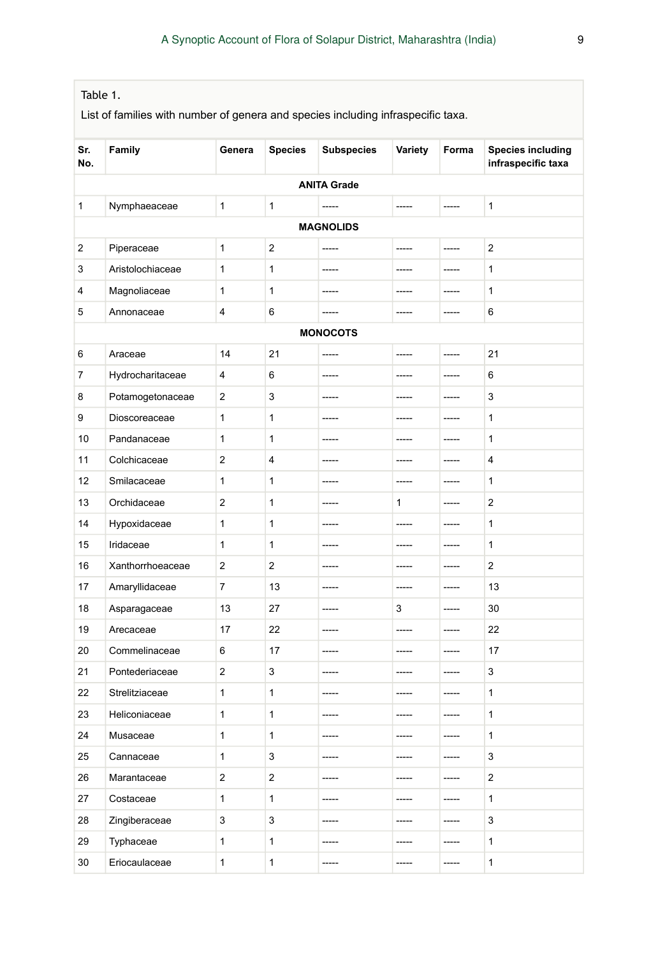| Table 1.   |                                                                                  |                         |                |                    |         |             |                                                |  |
|------------|----------------------------------------------------------------------------------|-------------------------|----------------|--------------------|---------|-------------|------------------------------------------------|--|
|            | List of families with number of genera and species including infraspecific taxa. |                         |                |                    |         |             |                                                |  |
| Sr.<br>No. | Family                                                                           | Genera                  | <b>Species</b> | <b>Subspecies</b>  | Variety | Forma       | <b>Species including</b><br>infraspecific taxa |  |
|            |                                                                                  |                         |                | <b>ANITA Grade</b> |         |             |                                                |  |
| 1          | Nymphaeaceae                                                                     | 1                       | 1              |                    | -----   | -----       | 1                                              |  |
|            | <b>MAGNOLIDS</b>                                                                 |                         |                |                    |         |             |                                                |  |
| 2          | Piperaceae                                                                       | $\mathbf{1}$            | $\overline{c}$ | -----              | -----   | -----       | $\overline{2}$                                 |  |
| 3          | Aristolochiaceae                                                                 | $\mathbf{1}$            | 1              | -----              | -----   | -----       | $\mathbf{1}$                                   |  |
| 4          | Magnoliaceae                                                                     | $\mathbf{1}$            | 1              | -----              | -----   | -----       | $\mathbf{1}$                                   |  |
| 5          | Annonaceae                                                                       | 4                       | 6              | -----              | -----   | -----       | 6                                              |  |
|            |                                                                                  |                         |                | <b>MONOCOTS</b>    |         |             |                                                |  |
| 6          | Araceae                                                                          | 14                      | 21             | -----              | -----   | -----       | 21                                             |  |
| 7          | Hydrocharitaceae                                                                 | 4                       | 6              | -----              |         | -----       | 6                                              |  |
| 8          | Potamogetonaceae                                                                 | 2                       | 3              | -----              | -----   | -----       | 3                                              |  |
| 9          | Dioscoreaceae                                                                    | $\mathbf{1}$            | 1              | -----              | -----   | -----       | 1                                              |  |
| 10         | Pandanaceae                                                                      | 1                       | 1              | -----              | -----   | -----       | 1                                              |  |
| 11         | Colchicaceae                                                                     | $\overline{2}$          | 4              | -----              | -----   | -----       | 4                                              |  |
| 12         | Smilacaceae                                                                      | 1                       | 1              | -----              | -----   | -----       | 1                                              |  |
| 13         | Orchidaceae                                                                      | 2                       | 1              | -----              | 1       | -----       | $\overline{c}$                                 |  |
| 14         | Hypoxidaceae                                                                     | 1                       | 1              | -----              | -----   | $- - - - -$ | 1                                              |  |
| 15         | Iridaceae                                                                        | $\mathbf{1}$            | 1              | -----              | -----   | -----       | $\mathbf{1}$                                   |  |
| 16         | Xanthorrhoeaceae                                                                 | 2                       | 2              | -----              | -----   | $- - - - -$ | 2                                              |  |
| 17         | Amaryllidaceae                                                                   | 7                       | 13             | -----              | -----   | -----       | 13                                             |  |
| 18         | Asparagaceae                                                                     | 13                      | 27             | -----              | 3       | -----       | 30                                             |  |
| 19         | Arecaceae                                                                        | 17                      | 22             | -----              | -----   | -----       | 22                                             |  |
| 20         | Commelinaceae                                                                    | 6                       | 17             | -----              | -----   | $- - - - -$ | 17                                             |  |
| 21         | Pontederiaceae                                                                   | 2                       | 3              | -----              | -----   | -----       | 3                                              |  |
| 22         | Strelitziaceae                                                                   | 1                       | 1              | -----              | -----   | -----       | 1                                              |  |
| 23         | Heliconiaceae                                                                    | 1                       | 1              | -----              | -----   | -----       | 1                                              |  |
| 24         | Musaceae                                                                         | 1                       | 1              | -----              | -----   | $\cdots$    | 1                                              |  |
| 25         | Cannaceae                                                                        | 1                       | 3              | -----              | -----   | -----       | 3                                              |  |
| 26         | Marantaceae                                                                      | $\overline{\mathbf{c}}$ | 2              | -----              | -----   | -----       | $\overline{a}$                                 |  |
| 27         | Costaceae                                                                        | $\mathbf{1}$            | 1              | -----              | -----   | -----       | 1                                              |  |
| 28         | Zingiberaceae                                                                    | 3                       | 3              | -----              | -----   | -----       | 3                                              |  |
| 29         | Typhaceae                                                                        | 1                       | 1              | -----              | -----   | -----       | $\mathbf{1}$                                   |  |
| 30         | Eriocaulaceae                                                                    | $\mathbf{1}$            | $\mathbf{1}$   | -----              | -----   | -----       | $\mathbf{1}$                                   |  |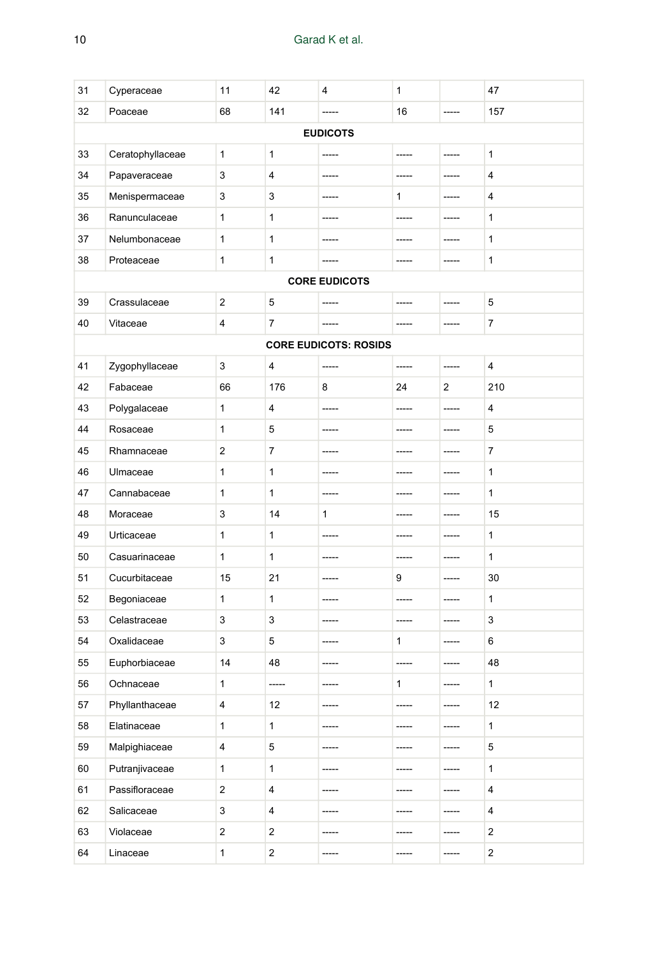| 31 | Cyperaceae       | 11                      | 42                      | 4                            | 1     |                   | 47             |
|----|------------------|-------------------------|-------------------------|------------------------------|-------|-------------------|----------------|
| 32 | Poaceae          | 68                      | 141                     |                              | 16    |                   | 157            |
|    |                  |                         |                         | <b>EUDICOTS</b>              |       |                   |                |
| 33 | Ceratophyllaceae | $\mathbf{1}$            | 1                       |                              |       |                   | 1              |
| 34 | Papaveraceae     | 3                       | 4                       | -----                        | ----- | -----             | 4              |
| 35 | Menispermaceae   | 3                       | 3                       | -----                        | 1     | -----             | 4              |
| 36 | Ranunculaceae    | 1                       | 1                       | -----                        | ----- | $- - - - -$       | 1              |
| 37 | Nelumbonaceae    | $\mathbf{1}$            | 1                       | -----                        | ----- | -----             | $\mathbf{1}$   |
| 38 | Proteaceae       | $\mathbf{1}$            | 1                       | -----                        | ----- | -----             | 1              |
|    |                  |                         |                         | <b>CORE EUDICOTS</b>         |       |                   |                |
| 39 | Crassulaceae     | 2                       | 5                       | -----                        | ----- | $100 - 100 - 100$ | 5              |
| 40 | Vitaceae         | 4                       | 7                       | -----                        | ----- | -----             | 7              |
|    |                  |                         |                         | <b>CORE EUDICOTS: ROSIDS</b> |       |                   |                |
| 41 | Zygophyllaceae   | 3                       | 4                       | $1 - 1 - 1$                  | ----- | -----             | 4              |
| 42 | Fabaceae         | 66                      | 176                     | 8                            | 24    | 2                 | 210            |
| 43 | Polygalaceae     | $\mathbf{1}$            | 4                       | -----                        | ----- | -----             | 4              |
| 44 | Rosaceae         | $\mathbf{1}$            | 5                       | -----                        | ----- | -----             | 5              |
| 45 | Rhamnaceae       | 2                       | 7                       | -----                        | ----- | -----             | 7              |
| 46 | Ulmaceae         | $\mathbf{1}$            | 1                       | -----                        | ----- | -----             | 1              |
| 47 | Cannabaceae      | 1                       | 1                       | -----                        | ----- | -----             | 1              |
| 48 | Moraceae         | 3                       | 14                      | $\mathbf{1}$                 | ----- | -----             | 15             |
| 49 | Urticaceae       | 1                       | 1                       | -----                        | ----- | -----             | 1              |
| 50 | Casuarinaceae    | $\mathbf{1}$            | 1                       | -----                        | ----- | -----             | 1              |
| 51 | Cucurbitaceae    | 15                      | 21                      | -----                        | 9     | -----             | 30             |
| 52 | Begoniaceae      | $\mathbf{1}$            | 1                       | -----                        | ----- | $1 - 1 - 1 = 1$   | 1              |
| 53 | Celastraceae     | 3                       | 3                       | -----                        | ----- | $1 - 1 - 1 = 1$   | 3              |
| 54 | Oxalidaceae      | 3                       | 5                       |                              | 1     | -----             | 6              |
| 55 | Euphorbiaceae    | 14                      | 48                      |                              | ----- |                   | 48             |
| 56 | Ochnaceae        | 1                       | -----                   |                              | 1     |                   | 1              |
| 57 | Phyllanthaceae   | 4                       | 12                      | -----                        |       | -----             | 12             |
| 58 | Elatinaceae      | 1                       | $\mathbf{1}$            | -----                        | ----- | -----             | 1              |
| 59 | Malpighiaceae    | 4                       | 5                       | -----                        | ----- | -----             | 5              |
| 60 | Putranjivaceae   | $\mathbf{1}$            | $\mathbf{1}$            | -----                        | ----- | -----             | 1              |
| 61 | Passifloraceae   | $\overline{\mathbf{c}}$ | 4                       | -----                        | ----- | -----             | 4              |
| 62 | Salicaceae       | 3                       | 4                       | -----                        | ----- | -----             | 4              |
| 63 | Violaceae        | $\overline{\mathbf{c}}$ | 2                       | -----                        | ----- | -----             | $\overline{c}$ |
| 64 | Linaceae         | $\mathbf{1}$            | $\overline{\mathbf{c}}$ | -----                        | ----- | -----             | $\overline{c}$ |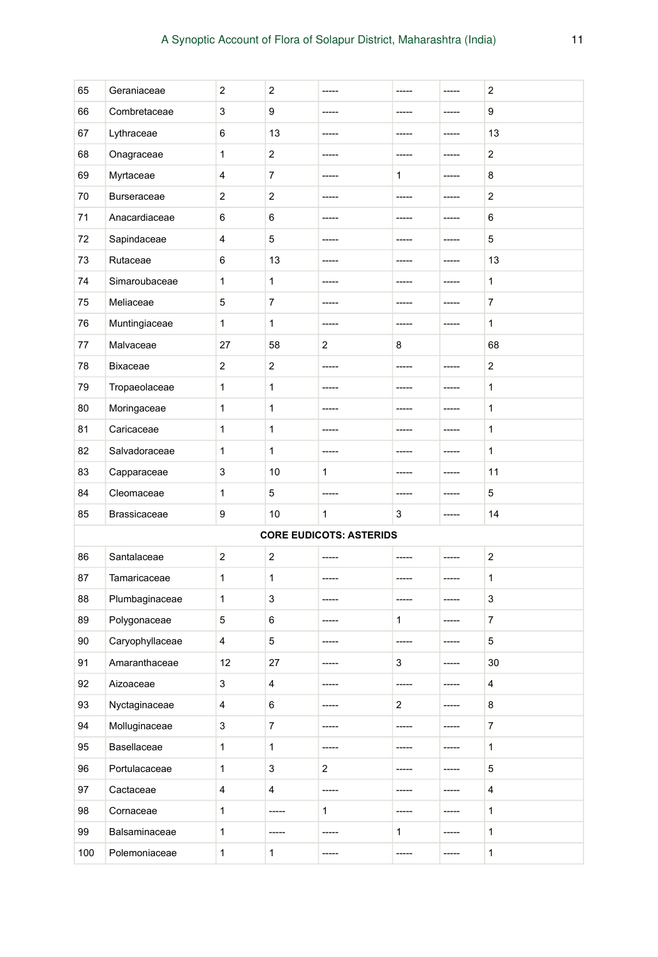| 65  | Geraniaceae         | $\overline{2}$          | 2                         | -----                          | -----                   | ----- | 2                |
|-----|---------------------|-------------------------|---------------------------|--------------------------------|-------------------------|-------|------------------|
| 66  | Combretaceae        | 3                       | 9                         | -----                          | -----                   | ----- | 9                |
| 67  | Lythraceae          | 6                       | 13                        | -----                          | -----                   | ----- | 13               |
| 68  | Onagraceae          | 1                       | 2                         | -----                          | -----                   | ----- | 2                |
| 69  | Myrtaceae           | 4                       | 7                         | -----                          | 1                       | ----- | 8                |
| 70  | <b>Burseraceae</b>  | 2                       | 2                         | -----                          | -----                   | ----- | 2                |
| 71  | Anacardiaceae       | 6                       | 6                         | -----                          | -----                   | ----- | 6                |
| 72  | Sapindaceae         | 4                       | 5                         | -----                          | -----                   | ----- | 5                |
| 73  | Rutaceae            | 6                       | 13                        | -----                          |                         | ----- | 13               |
| 74  | Simaroubaceae       | 1                       | 1                         | -----                          |                         | ----- | 1                |
| 75  | Meliaceae           | 5                       | 7                         | -----                          | -----                   | ----- | 7                |
| 76  | Muntingiaceae       | 1                       | 1                         | -----                          | -----                   | ----- | 1                |
| 77  | Malvaceae           | 27                      | 58                        | 2                              | 8                       |       | 68               |
| 78  | Bixaceae            | 2                       | 2                         | -----                          | -----                   | ----- | 2                |
| 79  | Tropaeolaceae       | 1                       | 1                         | -----                          | -----                   | ----- | 1                |
| 80  | Moringaceae         | 1                       | 1                         | -----                          | -----                   | ----- | 1                |
| 81  | Caricaceae          | 1                       | 1                         |                                |                         | ----- | 1                |
| 82  | Salvadoraceae       | 1                       | 1                         | -----                          | -----                   | ----- | 1                |
| 83  | Capparaceae         | 3                       | 10                        | 1                              | -----                   | ----- | 11               |
| 84  | Cleomaceae          | 1                       | 5                         | -----                          | -----                   | ----- | 5                |
| 85  | <b>Brassicaceae</b> | 9                       | 10                        | 1                              | 3                       | ----- | 14               |
|     |                     |                         |                           | <b>CORE EUDICOTS: ASTERIDS</b> |                         |       |                  |
| 86  | Santalaceae         | $\overline{2}$          | $\mathbf 2$               |                                |                         | ----- | 2                |
| 87  | Tamaricaceae        | 1                       | 1                         | -----                          | -----                   | ----- | 1                |
| 88  | Plumbaginaceae      | 1                       | 3                         | -----                          | -----                   |       | 3                |
| 89  | Polygonaceae        | 5                       | 6                         | -----                          | 1                       | ----- | 7                |
| 90  | Caryophyllaceae     | $\overline{\mathbf{4}}$ | 5                         | -----                          | -----                   | ----- | 5                |
| 91  | Amaranthaceae       | 12                      | 27                        | -----                          | 3                       | ----- | 30               |
| 92  | Aizoaceae           | 3                       | 4                         | -----                          |                         |       | 4                |
| 93  | Nyctaginaceae       | 4                       | 6                         | -----                          | $\overline{\mathbf{c}}$ | ----- | 8                |
| 94  | Molluginaceae       | 3                       | $\overline{7}$            | -----                          | -----                   | ----- | $\boldsymbol{7}$ |
| 95  | Basellaceae         | $\mathbf{1}$            | $\mathbf{1}$              | -----                          | -----                   | ----- | 1                |
| 96  | Portulacaceae       | $\mathbf{1}$            | $\ensuremath{\mathsf{3}}$ | $\overline{a}$                 |                         | ----- | 5                |
| 97  | Cactaceae           | $\overline{4}$          | 4                         | -----                          | -----                   | ----- | 4                |
| 98  | Cornaceae           | $\mathbf{1}$            | -----                     | 1                              | -----                   | ----- | 1                |
| 99  | Balsaminaceae       | 1                       | -----                     | -----                          | $\mathbf{1}$            | ----- | 1                |
| 100 | Polemoniaceae       | $\mathbf{1}$            | $\mathbf{1}$              | -----                          | -----                   | ----- | $\mathbf{1}$     |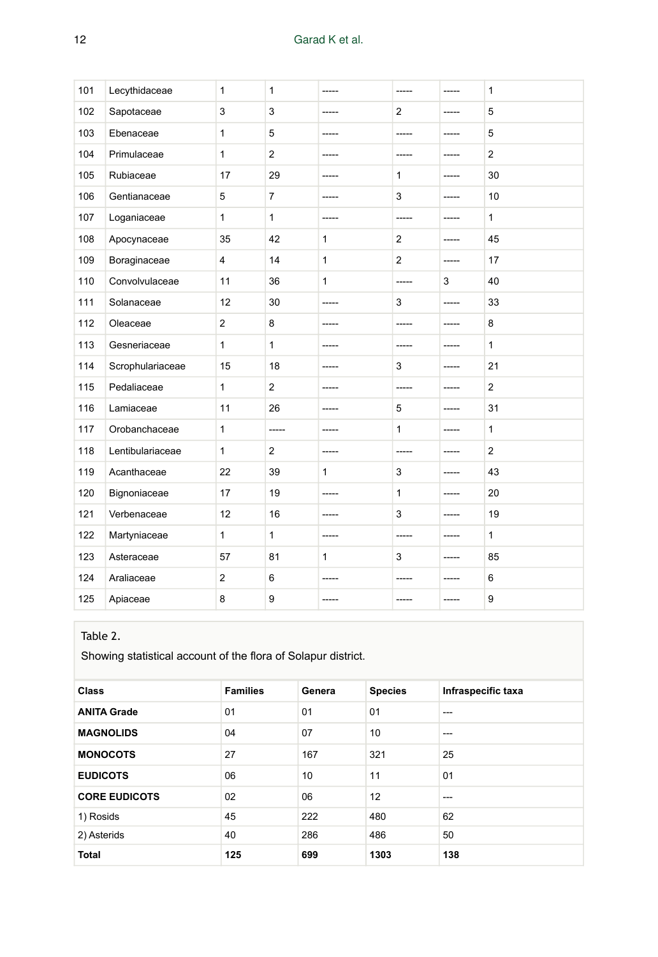| 101 | Lecythidaceae    | 1              | 1                       | -----        | -----          | -----       | 1            |
|-----|------------------|----------------|-------------------------|--------------|----------------|-------------|--------------|
| 102 | Sapotaceae       | 3              | 3                       | $- - - - -$  | 2              | $- - - - -$ | 5            |
| 103 | Ebenaceae        | 1              | 5                       |              |                |             | 5            |
| 104 | Primulaceae      | $\mathbf{1}$   | $\overline{2}$          | $- - - - -$  | -----          | -----       | 2            |
| 105 | Rubiaceae        | 17             | 29                      | -----        | $\mathbf{1}$   | -----       | 30           |
| 106 | Gentianaceae     | 5              | $\overline{7}$          | -----        | 3              | -----       | 10           |
| 107 | Loganiaceae      | $\mathbf{1}$   | $\mathbf{1}$            | -----        | -----          | -----       | $\mathbf{1}$ |
| 108 | Apocynaceae      | 35             | 42                      | 1            | $\overline{2}$ | -----       | 45           |
| 109 | Boraginaceae     | $\overline{4}$ | 14                      | $\mathbf{1}$ | 2              | -----       | 17           |
| 110 | Convolvulaceae   | 11             | 36                      | 1            | $- - - - -$    | 3           | 40           |
| 111 | Solanaceae       | 12             | 30                      | -----        | 3              | -----       | 33           |
| 112 | Oleaceae         | $\overline{2}$ | 8                       | -----        | -----          | -----       | 8            |
| 113 | Gesneriaceae     | 1              | $\mathbf{1}$            | -----        |                | $- - - - -$ | $\mathbf{1}$ |
| 114 | Scrophulariaceae | 15             | 18                      | -----        | 3              | -----       | 21           |
| 115 | Pedaliaceae      | 1              | $\overline{\mathbf{c}}$ | -----        | -----          | -----       | $\mathbf{2}$ |
| 116 | Lamiaceae        | 11             | 26                      | $- - - - -$  | 5              | $- - - - -$ | 31           |
| 117 | Orobanchaceae    | 1              | -----                   | -----        | $\mathbf{1}$   | -----       | $\mathbf{1}$ |
| 118 | Lentibulariaceae | 1              | $\mathbf{2}$            | -----        | -----          | -----       | $\mathbf{2}$ |
| 119 | Acanthaceae      | 22             | 39                      | 1            | 3              | -----       | 43           |
| 120 | Bignoniaceae     | 17             | 19                      | -----        | $\mathbf{1}$   | -----       | 20           |
| 121 | Verbenaceae      | 12             | 16                      | -----        | 3              | $- - - - -$ | 19           |
| 122 | Martyniaceae     | 1              | $\mathbf{1}$            | $- - - - -$  | -----          | $- - - - -$ | $\mathbf{1}$ |
| 123 | Asteraceae       | 57             | 81                      | 1            | 3              | -----       | 85           |
| 124 | Araliaceae       | $\overline{2}$ | 6                       | -----        | -----          | $- - - - -$ | 6            |
| 125 | Apiaceae         | 8              | 9                       | $- - - - -$  | -----          | -----       | 9            |

## Table 2.

Showing statistical account of the flora of Solapur district.

| <b>Class</b>         | <b>Families</b> | Genera | <b>Species</b>    | Infraspecific taxa |
|----------------------|-----------------|--------|-------------------|--------------------|
| <b>ANITA Grade</b>   | 01              | 01     | 01                | ---                |
| <b>MAGNOLIDS</b>     | 04              | 07     | 10                | ---                |
| <b>MONOCOTS</b>      | 27              | 167    | 321               | 25                 |
| <b>EUDICOTS</b>      | 06              | 10     | 11                | 01                 |
| <b>CORE EUDICOTS</b> | 02              | 06     | $12 \overline{ }$ | ---                |
| 1) Rosids            | 45              | 222    | 480               | 62                 |
| 2) Asterids          | 40              | 286    | 486               | 50                 |
| <b>Total</b>         | 125             | 699    | 1303              | 138                |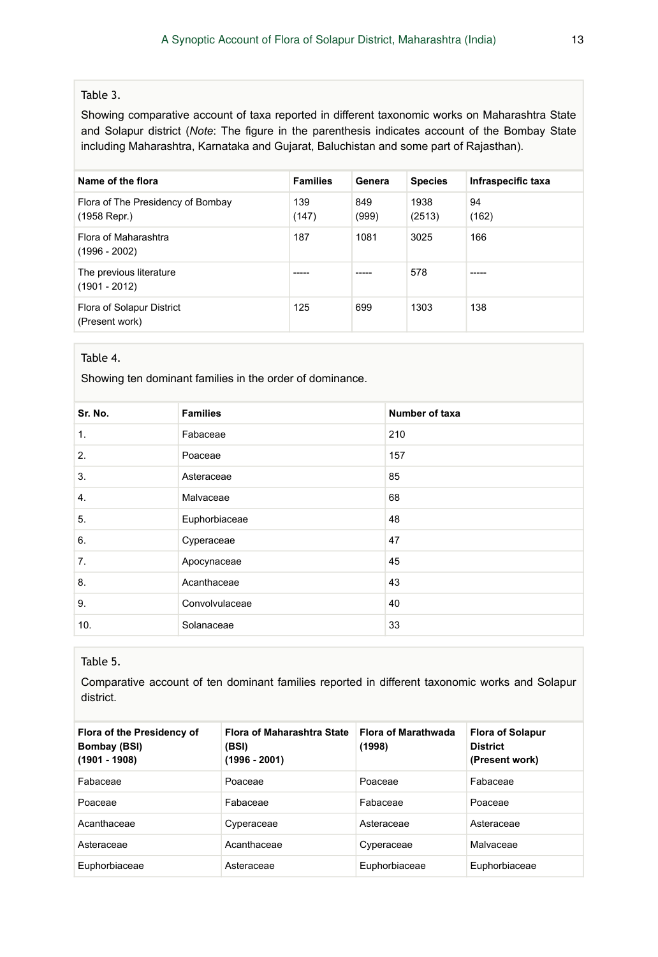#### Table 3.

Showing comparative account of taxa reported in different taxonomic works on Maharashtra State and Solapur district (*Note*: The figure in the parenthesis indicates account of the Bombay State including Maharashtra, Karnataka and Gujarat, Baluchistan and some part of Rajasthan).

| Name of the flora                                 | <b>Families</b> | Genera       | <b>Species</b> | Infraspecific taxa |
|---------------------------------------------------|-----------------|--------------|----------------|--------------------|
| Flora of The Presidency of Bombay<br>(1958 Repr.) | 139<br>(147)    | 849<br>(999) | 1938<br>(2513) | 94<br>(162)        |
| Flora of Maharashtra<br>$(1996 - 2002)$           | 187             | 1081         | 3025           | 166                |
| The previous literature<br>$(1901 - 2012)$        |                 |              | 578            | -----              |
| Flora of Solapur District<br>(Present work)       | 125             | 699          | 1303           | 138                |

#### Table 4.

Showing ten dominant families in the order of dominance.

| Sr. No. | <b>Families</b> | Number of taxa |
|---------|-----------------|----------------|
| 1.      | Fabaceae        | 210            |
| 2.      | Poaceae         | 157            |
| 3.      | Asteraceae      | 85             |
| 4.      | Malvaceae       | 68             |
| 5.      | Euphorbiaceae   | 48             |
| 6.      | Cyperaceae      | 47             |
| 7.      | Apocynaceae     | 45             |
| 8.      | Acanthaceae     | 43             |
| 9.      | Convolvulaceae  | 40             |
| 10.     | Solanaceae      | 33             |

### Table 5.

Comparative account of ten dominant families reported in different taxonomic works and Solapur district.

| Flora of the Presidency of<br>Bombay (BSI)<br>(1901 - 1908) | Flora of Maharashtra State<br>(BSI)<br>$(1996 - 2001)$ | <b>Flora of Marathwada</b><br>(1998) | <b>Flora of Solapur</b><br><b>District</b><br>(Present work) |
|-------------------------------------------------------------|--------------------------------------------------------|--------------------------------------|--------------------------------------------------------------|
| Fabaceae                                                    | Poaceae                                                | Poaceae                              | Fabaceae                                                     |
| Poaceae                                                     | Fabaceae                                               | Fabaceae                             | Poaceae                                                      |
| Acanthaceae                                                 | Cyperaceae                                             | Asteraceae                           | Asteraceae                                                   |
| Asteraceae                                                  | Acanthaceae                                            | Cyperaceae                           | Malvaceae                                                    |
| Euphorbiaceae                                               | Asteraceae                                             | Euphorbiaceae                        | Euphorbiaceae                                                |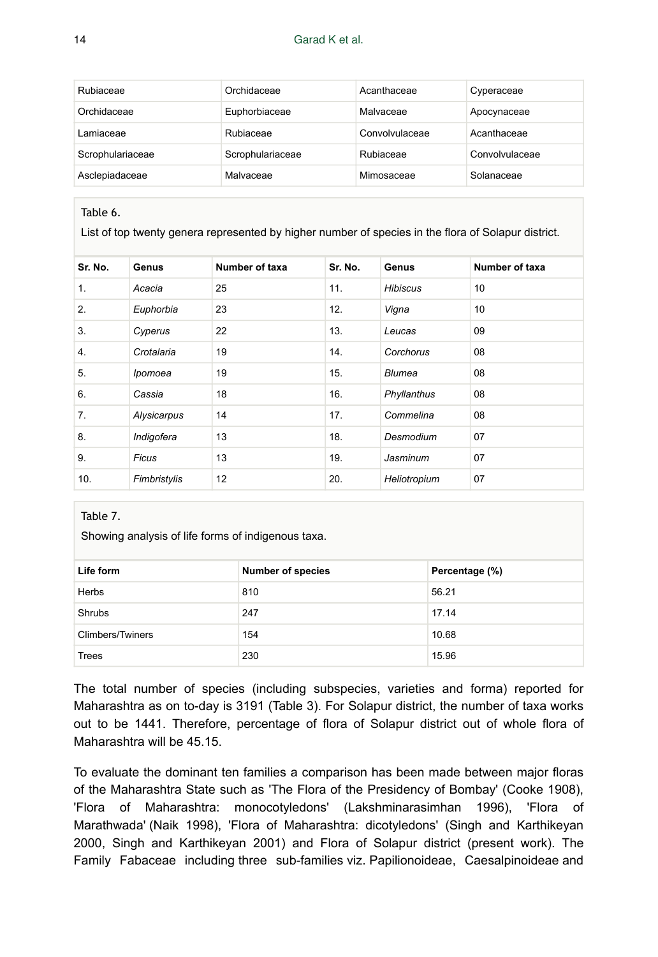| Rubiaceae        | Orchidaceae      | Acanthaceae    | Cyperaceae     |
|------------------|------------------|----------------|----------------|
| Orchidaceae      | Euphorbiaceae    | Malvaceae      | Apocynaceae    |
| Lamiaceae        | Rubiaceae        | Convolvulaceae | Acanthaceae    |
| Scrophulariaceae | Scrophulariaceae | Rubiaceae      | Convolvulaceae |
| Asclepiadaceae   | Malvaceae        | Mimosaceae     | Solanaceae     |

#### Table 6.

List of top twenty genera represented by higher number of species in the flora of Solapur district.

| Sr. No. | Genus        | Number of taxa | Sr. No. | Genus           | Number of taxa |
|---------|--------------|----------------|---------|-----------------|----------------|
| 1.      | Acacia       | 25             | 11.     | <b>Hibiscus</b> | 10             |
| 2.      | Euphorbia    | 23             | 12.     | Vigna           | 10             |
| 3.      | Cyperus      | 22             | 13.     | Leucas          | 09             |
| 4.      | Crotalaria   | 19             | 14.     | Corchorus       | 08             |
| 5.      | Ipomoea      | 19             | 15.     | Blumea          | 08             |
| 6.      | Cassia       | 18             | 16.     | Phyllanthus     | 08             |
| 7.      | Alysicarpus  | 14             | 17.     | Commelina       | 08             |
| 8.      | Indigofera   | 13             | 18.     | Desmodium       | 07             |
| 9.      | Ficus        | 13             | 19.     | Jasminum        | 07             |
| 10.     | Fimbristylis | 12             | 20.     | Heliotropium    | 07             |

#### Table 7.

Showing analysis of life forms of indigenous taxa.

| Life form        | <b>Number of species</b> | Percentage (%) |
|------------------|--------------------------|----------------|
| Herbs            | 810                      | 56.21          |
| Shrubs           | 247                      | 17.14          |
| Climbers/Twiners | 154                      | 10.68          |
| Trees            | 230                      | 15.96          |

The total number of species (including subspecies, varieties and forma) reported for Maharashtra as on to-day is 3191 (Table 3). For Solapur district, the number of taxa works out to be 1441. Therefore, percentage of flora of Solapur district out of whole flora of Maharashtra will be 45.15.

To evaluate the dominant ten families a comparison has been made between major floras of the Maharashtra State such as 'The Flora of the Presidency of Bombay' (Cooke 1908), 'Flora of Maharashtra: monocotyledons' (Lakshminarasimhan 1996), 'Flora of Marathwada' (Naik 1998), 'Flora of Maharashtra: dicotyledons' (Singh and Karthikeyan 2000, Singh and Karthikeyan 2001) and Flora of Solapur district (present work). The Family Fabaceae including three sub-families viz. Papilionoideae, Caesalpinoideae and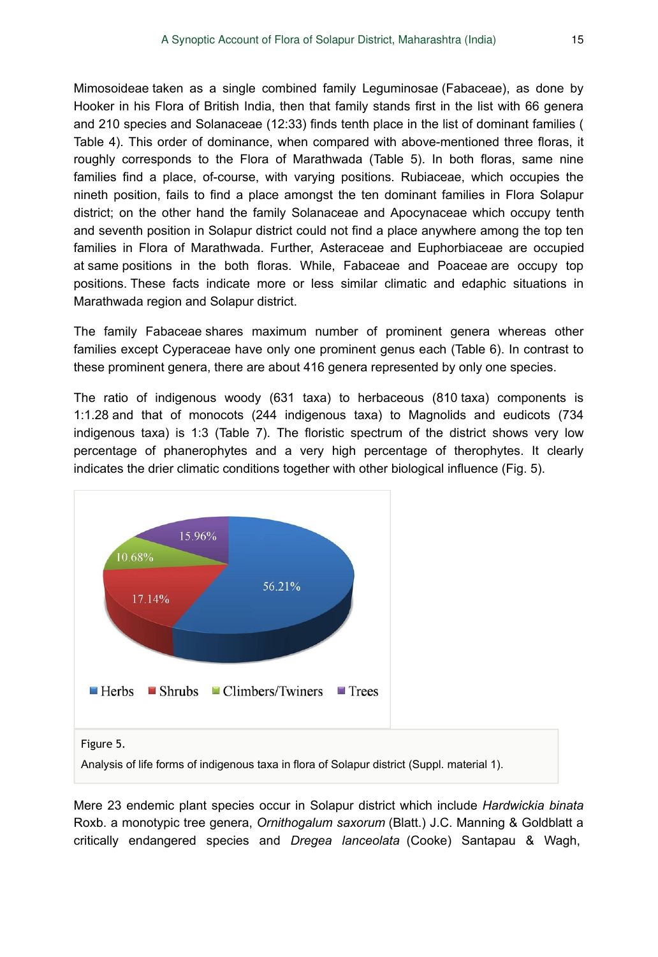Mimosoideae taken as a single combined family Leguminosae (Fabaceae), as done by Hooker in his Flora of British India, then that family stands first in the list with 66 genera and 210 species and Solanaceae (12:33) finds tenth place in the list of dominant families ( Table 4). This order of dominance, when compared with above-mentioned three floras, it roughly corresponds to the Flora of Marathwada (Table 5). In both floras, same nine families find a place, of-course, with varying positions. Rubiaceae, which occupies the nineth position, fails to find a place amongst the ten dominant families in Flora Solapur district; on the other hand the family Solanaceae and Apocynaceae which occupy tenth and seventh position in Solapur district could not find a place anywhere among the top ten families in Flora of Marathwada. Further, Asteraceae and Euphorbiaceae are occupied at same positions in the both floras. While, Fabaceae and Poaceae are occupy top positions. These facts indicate more or less similar climatic and edaphic situations in Marathwada region and Solapur district.

The family Fabaceae shares maximum number of prominent genera whereas other families except Cyperaceae have only one prominent genus each (Table 6). In contrast to these prominent genera, there are about 416 genera represented by only one species.

The ratio of indigenous woody (631 taxa) to herbaceous (810 taxa) components is 1:1.28 and that of monocots (244 indigenous taxa) to Magnolids and eudicots (734 indigenous taxa) is 1:3 (Table 7). The floristic spectrum of the district shows very low percentage of phanerophytes and a very high percentage of therophytes. It clearly indicates the drier climatic conditions together with other biological influence (Fig. 5).



Analysis of life forms of indigenous taxa in flora of Solapur district (Suppl. material 1).

Mere 23 endemic plant species occur in Solapur district which include *Hardwickia binata* Roxb. a monotypic tree genera, *Ornithogalum saxorum* (Blatt.) J.C. Manning & Goldblatt a critically endangered species and *Dregea lanceolata* (Cooke) Santapau & Wagh,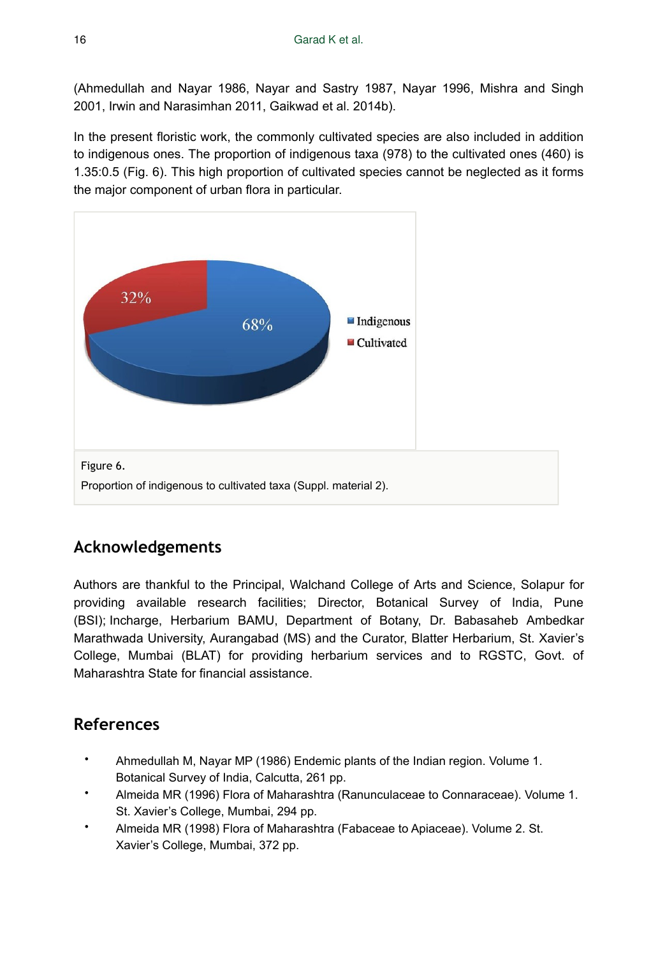(Ahmedullah and Nayar 1986, Nayar and Sastry 1987, Nayar 1996, Mishra and Singh 2001, Irwin and Narasimhan 2011, Gaikwad et al. 2014b).

In the present floristic work, the commonly cultivated species are also included in addition to indigenous ones. The proportion of indigenous taxa (978) to the cultivated ones (460) is 1.35:0.5 (Fig. 6). This high proportion of cultivated species cannot be neglected as it forms the major component of urban flora in particular.



# **Acknowledgements**

Authors are thankful to the Principal, Walchand College of Arts and Science, Solapur for providing available research facilities; Director, Botanical Survey of India, Pune (BSI); Incharge, Herbarium BAMU, Department of Botany, Dr. Babasaheb Ambedkar Marathwada University, Aurangabad (MS) and the Curator, Blatter Herbarium, St. Xavier's College, Mumbai (BLAT) for providing herbarium services and to RGSTC, Govt. of Maharashtra State for financial assistance.

# **References**

- Ahmedullah M, Nayar MP (1986) Endemic plants of the Indian region. Volume 1. Botanical Survey of India, Calcutta, 261 pp.
- Almeida MR (1996) Flora of Maharashtra (Ranunculaceae to Connaraceae). Volume 1. St. Xavier's College, Mumbai, 294 pp.
- Almeida MR (1998) Flora of Maharashtra (Fabaceae to Apiaceae). Volume 2. St. Xavier's College, Mumbai, 372 pp.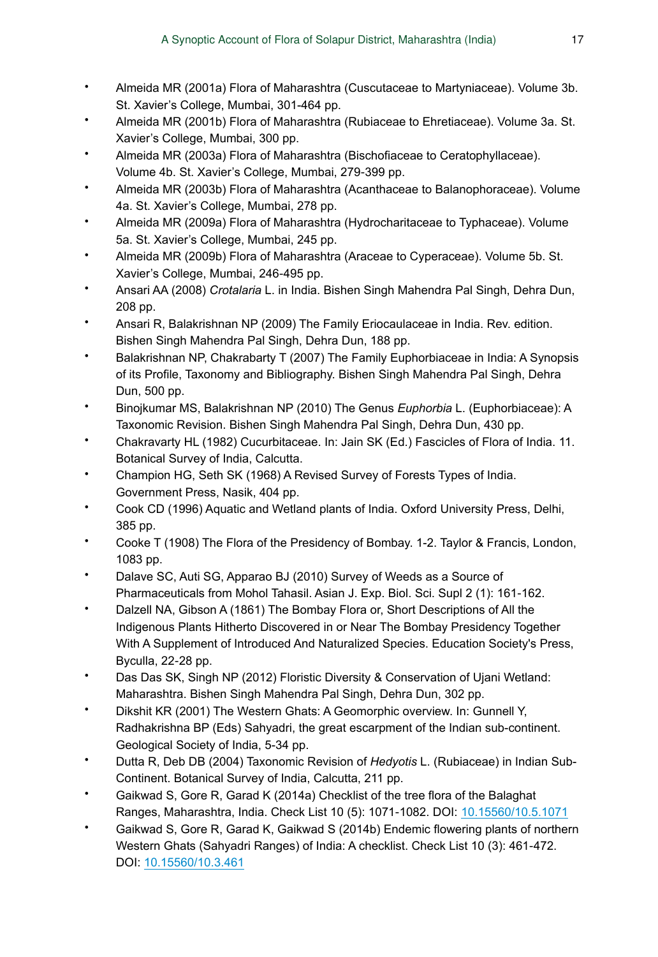- Almeida MR (2001a) Flora of Maharashtra (Cuscutaceae to Martyniaceae). Volume 3b. St. Xavier's College, Mumbai, 301-464 pp.
- Almeida MR (2001b) Flora of Maharashtra (Rubiaceae to Ehretiaceae). Volume 3a. St. Xavier's College, Mumbai, 300 pp.
- Almeida MR (2003a) Flora of Maharashtra (Bischofiaceae to Ceratophyllaceae). Volume 4b. St. Xavier's College, Mumbai, 279‑399 pp.
- Almeida MR (2003b) Flora of Maharashtra (Acanthaceae to Balanophoraceae). Volume 4a. St. Xavier's College, Mumbai, 278 pp.
- Almeida MR (2009a) Flora of Maharashtra (Hydrocharitaceae to Typhaceae). Volume 5a. St. Xavier's College, Mumbai, 245 pp.
- Almeida MR (2009b) Flora of Maharashtra (Araceae to Cyperaceae). Volume 5b. St. Xavier's College, Mumbai, 246‑495 pp.
- Ansari AA (2008) *Crotalaria* L. in India. Bishen Singh Mahendra Pal Singh, Dehra Dun, 208 pp.
- Ansari R, Balakrishnan NP (2009) The Family Eriocaulaceae in India. Rev. edition. Bishen Singh Mahendra Pal Singh, Dehra Dun, 188 pp.
- Balakrishnan NP, Chakrabarty T (2007) The Family Euphorbiaceae in India: A Synopsis of its Profile, Taxonomy and Bibliography. Bishen Singh Mahendra Pal Singh, Dehra Dun, 500 pp.
- Binojkumar MS, Balakrishnan NP (2010) The Genus *Euphorbia* L. (Euphorbiaceae): A Taxonomic Revision. Bishen Singh Mahendra Pal Singh, Dehra Dun, 430 pp.
- Chakravarty HL (1982) Cucurbitaceae. In: Jain SK (Ed.) Fascicles of Flora of India. 11. Botanical Survey of India, Calcutta.
- Champion HG, Seth SK (1968) A Revised Survey of Forests Types of India. Government Press, Nasik, 404 pp.
- Cook CD (1996) Aquatic and Wetland plants of India. Oxford University Press, Delhi, 385 pp.
- Cooke T (1908) The Flora of the Presidency of Bombay. 1-2. Taylor & Francis, London, 1083 pp.
- Dalave SC, Auti SG, Apparao BJ (2010) Survey of Weeds as a Source of Pharmaceuticals from Mohol Tahasil. Asian J. Exp. Biol. Sci. Supl 2 (1): 161‑162.
- Dalzell NA, Gibson A (1861) The Bombay Flora or, Short Descriptions of All the Indigenous Plants Hitherto Discovered in or Near The Bombay Presidency Together With A Supplement of Introduced And Naturalized Species. Education Society's Press, Byculla, 22‑28 pp.
- Das Das SK, Singh NP (2012) Floristic Diversity & Conservation of Ujani Wetland: Maharashtra. Bishen Singh Mahendra Pal Singh, Dehra Dun, 302 pp.
- Dikshit KR (2001) The Western Ghats: A Geomorphic overview. In: Gunnell Y, Radhakrishna BP (Eds) Sahyadri, the great escarpment of the Indian sub-continent. Geological Society of India, 5-34 pp.
- Dutta R, Deb DB (2004) Taxonomic Revision of *Hedyotis* L. (Rubiaceae) in Indian Sub-Continent. Botanical Survey of India, Calcutta, 211 pp.
- Gaikwad S, Gore R, Garad K (2014a) Checklist of the tree flora of the Balaghat Ranges, Maharashtra, India. Check List 10 (5): 1071‑1082. DOI: [10.15560/10.5.1071](http://dx.doi.org/10.15560/10.5.1071)
- Gaikwad S, Gore R, Garad K, Gaikwad S (2014b) Endemic flowering plants of northern Western Ghats (Sahyadri Ranges) of India: A checklist. Check List 10 (3): 461‑472. DOI: [10.15560/10.3.461](http://dx.doi.org/10.15560/10.3.461)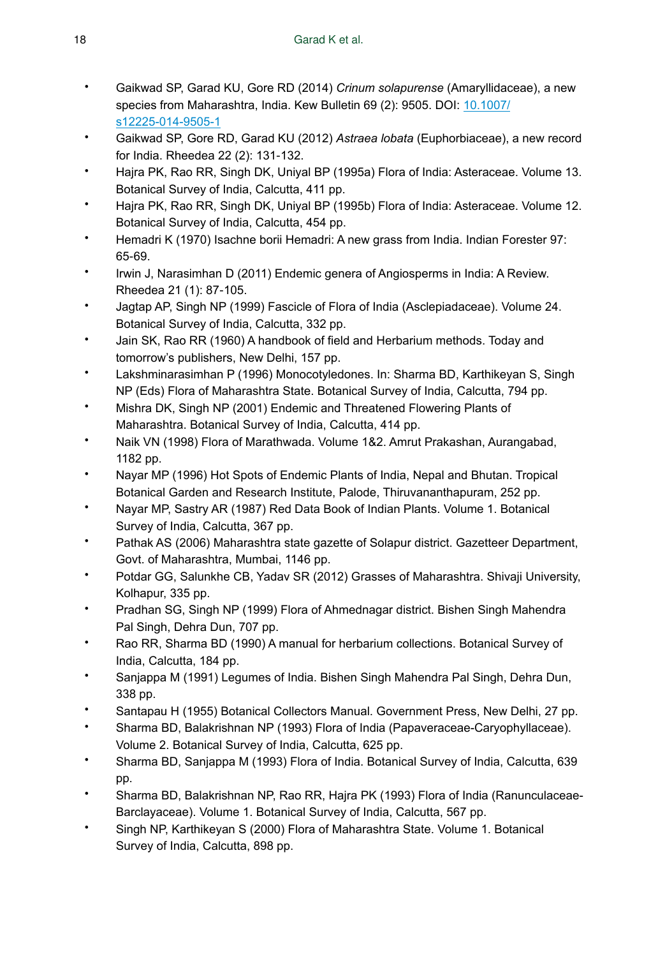- Gaikwad SP, Garad KU, Gore RD (2014) *Crinum solapurense* (Amaryllidaceae), a new species from Maharashtra, India. Kew Bulletin 69 (2): 9505. DOI: [10.1007/](http://dx.doi.org/10.1007/s12225-014-9505-1) [s12225-014-9505-1](http://dx.doi.org/10.1007/s12225-014-9505-1)
- Gaikwad SP, Gore RD, Garad KU (2012) *Astraea lobata* (Euphorbiaceae), a new record for India. Rheedea 22 (2): 131‑132.
- Hajra PK, Rao RR, Singh DK, Uniyal BP (1995a) Flora of India: Asteraceae. Volume 13. Botanical Survey of India, Calcutta, 411 pp.
- Hajra PK, Rao RR, Singh DK, Uniyal BP (1995b) Flora of India: Asteraceae. Volume 12. Botanical Survey of India, Calcutta, 454 pp.
- Hemadri K (1970) Isachne borii Hemadri: A new grass from India. Indian Forester 97: 65‑69.
- Irwin J, Narasimhan D (2011) Endemic genera of Angiosperms in India: A Review. Rheedea 21 (1): 87‑105.
- Jagtap AP, Singh NP (1999) Fascicle of Flora of India (Asclepiadaceae). Volume 24. Botanical Survey of India, Calcutta, 332 pp.
- Jain SK, Rao RR (1960) A handbook of field and Herbarium methods. Today and tomorrow's publishers, New Delhi, 157 pp.
- Lakshminarasimhan P (1996) Monocotyledones. In: Sharma BD, Karthikeyan S, Singh NP (Eds) Flora of Maharashtra State. Botanical Survey of India, Calcutta, 794 pp.
- Mishra DK, Singh NP (2001) Endemic and Threatened Flowering Plants of Maharashtra. Botanical Survey of India, Calcutta, 414 pp.
- Naik VN (1998) Flora of Marathwada. Volume 1&2. Amrut Prakashan, Aurangabad, 1182 pp.
- Nayar MP (1996) Hot Spots of Endemic Plants of India, Nepal and Bhutan. Tropical Botanical Garden and Research Institute, Palode, Thiruvananthapuram, 252 pp.
- Nayar MP, Sastry AR (1987) Red Data Book of Indian Plants. Volume 1. Botanical Survey of India, Calcutta, 367 pp.
- Pathak AS (2006) Maharashtra state gazette of Solapur district. Gazetteer Department, Govt. of Maharashtra, Mumbai, 1146 pp.
- Potdar GG, Salunkhe CB, Yadav SR (2012) Grasses of Maharashtra. Shivaji University, Kolhapur, 335 pp.
- Pradhan SG, Singh NP (1999) Flora of Ahmednagar district. Bishen Singh Mahendra Pal Singh, Dehra Dun, 707 pp.
- Rao RR, Sharma BD (1990) A manual for herbarium collections. Botanical Survey of India, Calcutta, 184 pp.
- Sanjappa M (1991) Legumes of India. Bishen Singh Mahendra Pal Singh, Dehra Dun, 338 pp.
- Santapau H (1955) Botanical Collectors Manual. Government Press, New Delhi, 27 pp.
- Sharma BD, Balakrishnan NP (1993) Flora of India (Papaveraceae-Caryophyllaceae). Volume 2. Botanical Survey of India, Calcutta, 625 pp.
- Sharma BD, Sanjappa M (1993) Flora of India. Botanical Survey of India, Calcutta, 639 pp.
- Sharma BD, Balakrishnan NP, Rao RR, Hajra PK (1993) Flora of India (Ranunculaceae-Barclayaceae). Volume 1. Botanical Survey of India, Calcutta, 567 pp.
- Singh NP, Karthikeyan S (2000) Flora of Maharashtra State. Volume 1. Botanical Survey of India, Calcutta, 898 pp.